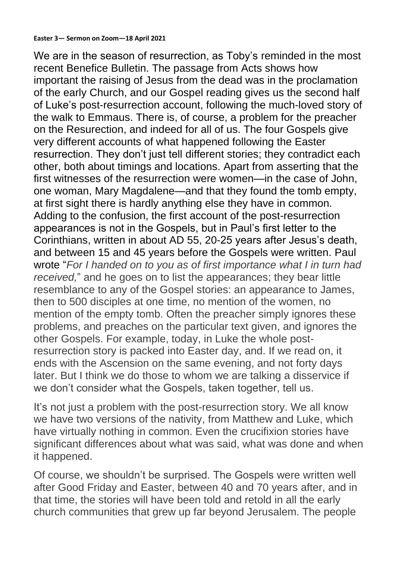**Easter 3— Sermon on Zoom—18 April 2021**

We are in the season of resurrection, as Toby's reminded in the most recent Benefice Bulletin. The passage from Acts shows how important the raising of Jesus from the dead was in the proclamation of the early Church, and our Gospel reading gives us the second half of Luke's post-resurrection account, following the much-loved story of the walk to Emmaus. There is, of course, a problem for the preacher on the Resurection, and indeed for all of us. The four Gospels give very different accounts of what happened following the Easter resurrection. They don't just tell different stories; they contradict each other, both about timings and locations. Apart from asserting that the first witnesses of the resurrection were women—in the case of John, one woman, Mary Magdalene—and that they found the tomb empty, at first sight there is hardly anything else they have in common. Adding to the confusion, the first account of the post-resurrection appearances is not in the Gospels, but in Paul's first letter to the Corinthians, written in about AD 55, 20-25 years after Jesus's death, and between 15 and 45 years before the Gospels were written. Paul wrote "*For I handed on to you as of first importance what I in turn had received,*" and he goes on to list the appearances; they bear little resemblance to any of the Gospel stories: an appearance to James, then to 500 disciples at one time, no mention of the women, no mention of the empty tomb. Often the preacher simply ignores these problems, and preaches on the particular text given, and ignores the other Gospels. For example, today, in Luke the whole postresurrection story is packed into Easter day, and. If we read on, it ends with the Ascension on the same evening, and not forty days later. But I think we do those to whom we are talking a disservice if we don't consider what the Gospels, taken together, tell us.

It's not just a problem with the post-resurrection story. We all know we have two versions of the nativity, from Matthew and Luke, which have virtually nothing in common. Even the crucifixion stories have significant differences about what was said, what was done and when it happened.

Of course, we shouldn't be surprised. The Gospels were written well after Good Friday and Easter, between 40 and 70 years after, and in that time, the stories will have been told and retold in all the early church communities that grew up far beyond Jerusalem. The people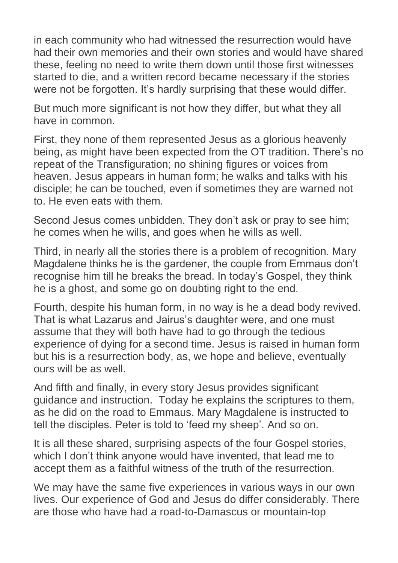in each community who had witnessed the resurrection would have had their own memories and their own stories and would have shared these, feeling no need to write them down until those first witnesses started to die, and a written record became necessary if the stories were not be forgotten. It's hardly surprising that these would differ.

But much more significant is not how they differ, but what they all have in common.

First, they none of them represented Jesus as a glorious heavenly being, as might have been expected from the OT tradition. There's no repeat of the Transfiguration; no shining figures or voices from heaven. Jesus appears in human form; he walks and talks with his disciple; he can be touched, even if sometimes they are warned not to. He even eats with them.

Second Jesus comes unbidden. They don't ask or pray to see him; he comes when he wills, and goes when he wills as well.

Third, in nearly all the stories there is a problem of recognition. Mary Magdalene thinks he is the gardener, the couple from Emmaus don't recognise him till he breaks the bread. In today's Gospel, they think he is a ghost, and some go on doubting right to the end.

Fourth, despite his human form, in no way is he a dead body revived. That is what Lazarus and Jairus's daughter were, and one must assume that they will both have had to go through the tedious experience of dying for a second time. Jesus is raised in human form but his is a resurrection body, as, we hope and believe, eventually ours will be as well.

And fifth and finally, in every story Jesus provides significant guidance and instruction. Today he explains the scriptures to them, as he did on the road to Emmaus. Mary Magdalene is instructed to tell the disciples. Peter is told to 'feed my sheep'. And so on.

It is all these shared, surprising aspects of the four Gospel stories, which I don't think anyone would have invented, that lead me to accept them as a faithful witness of the truth of the resurrection.

We may have the same five experiences in various ways in our own lives. Our experience of God and Jesus do differ considerably. There are those who have had a road-to-Damascus or mountain-top